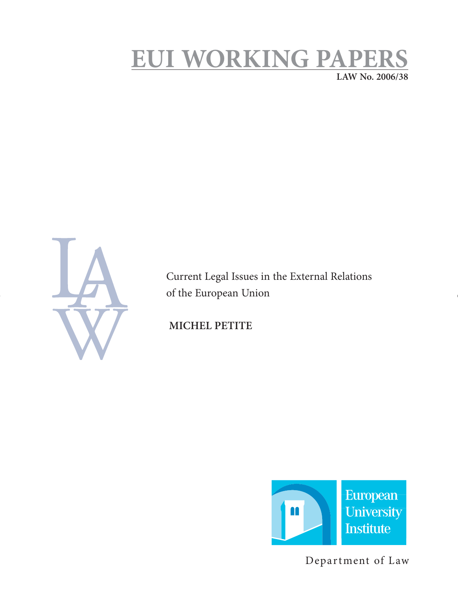# **EUI WORKING PAPERS LAW No. 2006/38**

Current Legal Issues in the External Relations of the European Union

 **MICHEL PETITE** 



Department of Law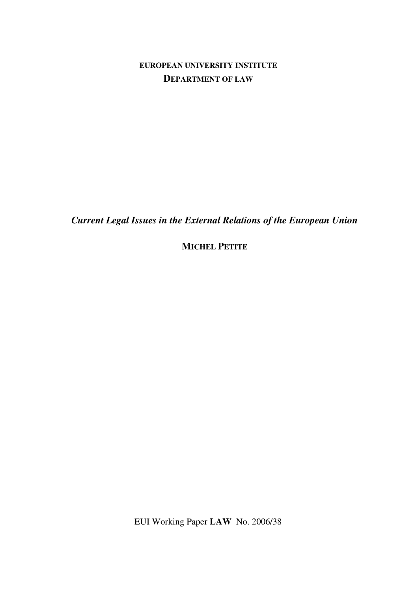# **EUROPEAN UNIVERSITY INSTITUTE DEPARTMENT OF LAW**

*Current Legal Issues in the External Relations of the European Union* 

**MICHEL PETITE**

EUI Working Paper **LAW** No. 2006/38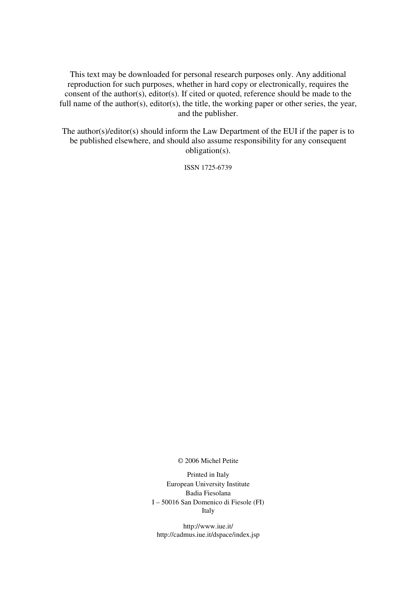This text may be downloaded for personal research purposes only. Any additional reproduction for such purposes, whether in hard copy or electronically, requires the consent of the author(s), editor(s). If cited or quoted, reference should be made to the full name of the author(s), editor(s), the title, the working paper or other series, the year, and the publisher.

The author(s)/editor(s) should inform the Law Department of the EUI if the paper is to be published elsewhere, and should also assume responsibility for any consequent obligation(s).

ISSN 1725-6739

© 2006 Michel Petite

Printed in Italy European University Institute Badia Fiesolana I – 50016 San Domenico di Fiesole (FI) Italy

http://www.iue.it/ http://cadmus.iue.it/dspace/index.jsp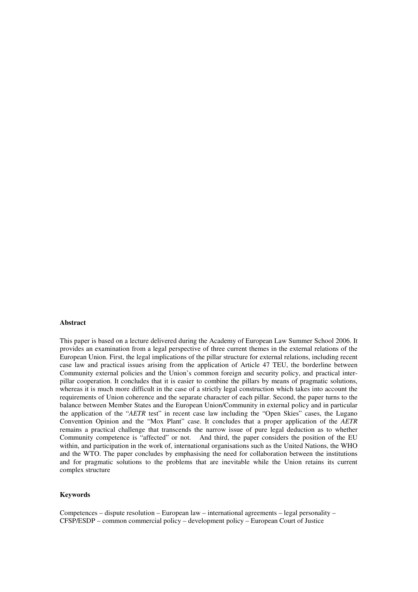#### **Abstract**

This paper is based on a lecture delivered during the Academy of European Law Summer School 2006. It provides an examination from a legal perspective of three current themes in the external relations of the European Union. First, the legal implications of the pillar structure for external relations, including recent case law and practical issues arising from the application of Article 47 TEU, the borderline between Community external policies and the Union's common foreign and security policy, and practical interpillar cooperation. It concludes that it is easier to combine the pillars by means of pragmatic solutions, whereas it is much more difficult in the case of a strictly legal construction which takes into account the requirements of Union coherence and the separate character of each pillar. Second, the paper turns to the balance between Member States and the European Union/Community in external policy and in particular the application of the "*AETR* test" in recent case law including the "Open Skies" cases, the Lugano Convention Opinion and the "Mox Plant" case. It concludes that a proper application of the *AETR* remains a practical challenge that transcends the narrow issue of pure legal deduction as to whether Community competence is "affected" or not. And third, the paper considers the position of the EU within, and participation in the work of, international organisations such as the United Nations, the WHO and the WTO. The paper concludes by emphasising the need for collaboration between the institutions and for pragmatic solutions to the problems that are inevitable while the Union retains its current complex structure

#### **Keywords**

Competences – dispute resolution – European law – international agreements – legal personality – CFSP/ESDP – common commercial policy – development policy – European Court of Justice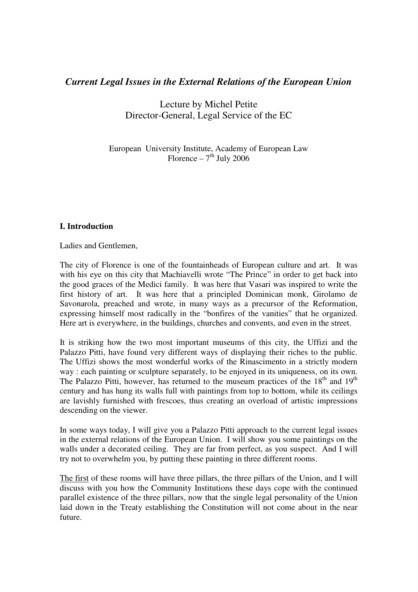# *Current Legal Issues in the External Relations of the European Union*

Lecture by Michel Petite Director-General, Legal Service of the EC

European University Institute, Academy of European Law Florence –  $7<sup>th</sup>$  July 2006

# **I. Introduction**

Ladies and Gentlemen,

The city of Florence is one of the fountainheads of European culture and art. It was with his eye on this city that Machiavelli wrote "The Prince" in order to get back into the good graces of the Medici family. It was here that Vasari was inspired to write the first history of art. It was here that a principled Dominican monk, Girolamo de Savonarola, preached and wrote, in many ways as a precursor of the Reformation, expressing himself most radically in the "bonfires of the vanities" that he organized. Here art is everywhere, in the buildings, churches and convents, and even in the street.

It is striking how the two most important museums of this city, the Uffizi and the Palazzo Pitti, have found very different ways of displaying their riches to the public. The Uffizi shows the most wonderful works of the Rinascimento in a strictly modern way : each painting or sculpture separately, to be enjoyed in its uniqueness, on its own. The Palazzo Pitti, however, has returned to the museum practices of the  $18<sup>th</sup>$  and  $19<sup>th</sup>$ century and has hung its walls full with paintings from top to bottom, while its ceilings are lavishly furnished with frescoes, thus creating an overload of artistic impressions descending on the viewer.

In some ways today, I will give you a Palazzo Pitti approach to the current legal issues in the external relations of the European Union. I will show you some paintings on the walls under a decorated ceiling. They are far from perfect, as you suspect. And I will try not to overwhelm you, by putting these painting in three different rooms.

The first of these rooms will have three pillars, the three pillars of the Union, and I will discuss with you how the Community Institutions these days cope with the continued parallel existence of the three pillars, now that the single legal personality of the Union laid down in the Treaty establishing the Constitution will not come about in the near future.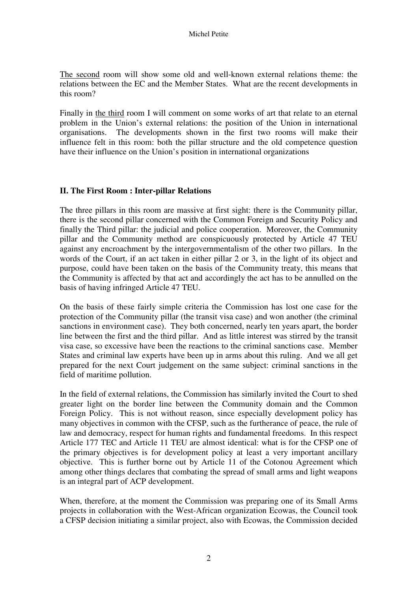The second room will show some old and well-known external relations theme: the relations between the EC and the Member States. What are the recent developments in this room?

Finally in the third room I will comment on some works of art that relate to an eternal problem in the Union's external relations: the position of the Union in international organisations. The developments shown in the first two rooms will make their influence felt in this room: both the pillar structure and the old competence question have their influence on the Union's position in international organizations

## **II. The First Room : Inter-pillar Relations**

The three pillars in this room are massive at first sight: there is the Community pillar, there is the second pillar concerned with the Common Foreign and Security Policy and finally the Third pillar: the judicial and police cooperation. Moreover, the Community pillar and the Community method are conspicuously protected by Article 47 TEU against any encroachment by the intergovernmentalism of the other two pillars. In the words of the Court, if an act taken in either pillar 2 or 3, in the light of its object and purpose, could have been taken on the basis of the Community treaty, this means that the Community is affected by that act and accordingly the act has to be annulled on the basis of having infringed Article 47 TEU.

On the basis of these fairly simple criteria the Commission has lost one case for the protection of the Community pillar (the transit visa case) and won another (the criminal sanctions in environment case). They both concerned, nearly ten years apart, the border line between the first and the third pillar. And as little interest was stirred by the transit visa case, so excessive have been the reactions to the criminal sanctions case. Member States and criminal law experts have been up in arms about this ruling. And we all get prepared for the next Court judgement on the same subject: criminal sanctions in the field of maritime pollution.

In the field of external relations, the Commission has similarly invited the Court to shed greater light on the border line between the Community domain and the Common Foreign Policy. This is not without reason, since especially development policy has many objectives in common with the CFSP, such as the furtherance of peace, the rule of law and democracy, respect for human rights and fundamental freedoms. In this respect Article 177 TEC and Article 11 TEU are almost identical: what is for the CFSP one of the primary objectives is for development policy at least a very important ancillary objective. This is further borne out by Article 11 of the Cotonou Agreement which among other things declares that combating the spread of small arms and light weapons is an integral part of ACP development.

When, therefore, at the moment the Commission was preparing one of its Small Arms projects in collaboration with the West-African organization Ecowas, the Council took a CFSP decision initiating a similar project, also with Ecowas, the Commission decided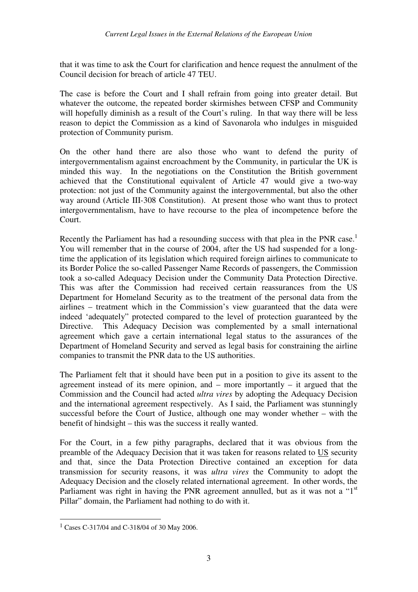that it was time to ask the Court for clarification and hence request the annulment of the Council decision for breach of article 47 TEU.

The case is before the Court and I shall refrain from going into greater detail. But whatever the outcome, the repeated border skirmishes between CFSP and Community will hopefully diminish as a result of the Court's ruling. In that way there will be less reason to depict the Commission as a kind of Savonarola who indulges in misguided protection of Community purism.

On the other hand there are also those who want to defend the purity of intergovernmentalism against encroachment by the Community, in particular the UK is minded this way. In the negotiations on the Constitution the British government achieved that the Constitutional equivalent of Article 47 would give a two-way protection: not just of the Community against the intergovernmental, but also the other way around (Article III-308 Constitution). At present those who want thus to protect intergovernmentalism, have to have recourse to the plea of incompetence before the Court.

Recently the Parliament has had a resounding success with that plea in the PNR case.<sup>1</sup> You will remember that in the course of 2004, after the US had suspended for a longtime the application of its legislation which required foreign airlines to communicate to its Border Police the so-called Passenger Name Records of passengers, the Commission took a so-called Adequacy Decision under the Community Data Protection Directive. This was after the Commission had received certain reassurances from the US Department for Homeland Security as to the treatment of the personal data from the airlines – treatment which in the Commission's view guaranteed that the data were indeed 'adequately" protected compared to the level of protection guaranteed by the Directive. This Adequacy Decision was complemented by a small international agreement which gave a certain international legal status to the assurances of the Department of Homeland Security and served as legal basis for constraining the airline companies to transmit the PNR data to the US authorities.

The Parliament felt that it should have been put in a position to give its assent to the agreement instead of its mere opinion, and – more importantly – it argued that the Commission and the Council had acted *ultra vires* by adopting the Adequacy Decision and the international agreement respectively. As I said, the Parliament was stunningly successful before the Court of Justice, although one may wonder whether – with the benefit of hindsight – this was the success it really wanted.

For the Court, in a few pithy paragraphs, declared that it was obvious from the preamble of the Adequacy Decision that it was taken for reasons related to US security and that, since the Data Protection Directive contained an exception for data transmission for security reasons, it was *ultra vires* the Community to adopt the Adequacy Decision and the closely related international agreement. In other words, the Parliament was right in having the PNR agreement annulled, but as it was not a " $1<sup>st</sup>$ Pillar" domain, the Parliament had nothing to do with it.

j

<sup>1</sup> Cases C-317/04 and C-318/04 of 30 May 2006.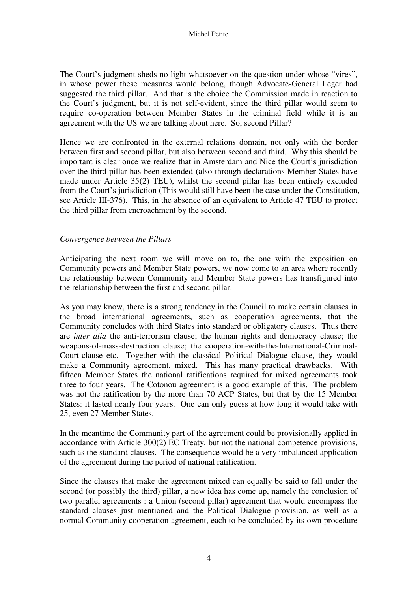The Court's judgment sheds no light whatsoever on the question under whose "vires", in whose power these measures would belong, though Advocate-General Leger had suggested the third pillar. And that is the choice the Commission made in reaction to the Court's judgment, but it is not self-evident, since the third pillar would seem to require co-operation between Member States in the criminal field while it is an agreement with the US we are talking about here. So, second Pillar?

Hence we are confronted in the external relations domain, not only with the border between first and second pillar, but also between second and third. Why this should be important is clear once we realize that in Amsterdam and Nice the Court's jurisdiction over the third pillar has been extended (also through declarations Member States have made under Article 35(2) TEU), whilst the second pillar has been entirely excluded from the Court's jurisdiction (This would still have been the case under the Constitution, see Article III-376). This, in the absence of an equivalent to Article 47 TEU to protect the third pillar from encroachment by the second.

## *Convergence between the Pillars*

Anticipating the next room we will move on to, the one with the exposition on Community powers and Member State powers, we now come to an area where recently the relationship between Community and Member State powers has transfigured into the relationship between the first and second pillar.

As you may know, there is a strong tendency in the Council to make certain clauses in the broad international agreements, such as cooperation agreements, that the Community concludes with third States into standard or obligatory clauses. Thus there are *inter alia* the anti-terrorism clause; the human rights and democracy clause; the weapons-of-mass-destruction clause; the cooperation-with-the-International-Criminal-Court-clause etc. Together with the classical Political Dialogue clause, they would make a Community agreement, mixed. This has many practical drawbacks. With fifteen Member States the national ratifications required for mixed agreements took three to four years. The Cotonou agreement is a good example of this. The problem was not the ratification by the more than 70 ACP States, but that by the 15 Member States: it lasted nearly four years. One can only guess at how long it would take with 25, even 27 Member States.

In the meantime the Community part of the agreement could be provisionally applied in accordance with Article 300(2) EC Treaty, but not the national competence provisions, such as the standard clauses. The consequence would be a very imbalanced application of the agreement during the period of national ratification.

Since the clauses that make the agreement mixed can equally be said to fall under the second (or possibly the third) pillar, a new idea has come up, namely the conclusion of two parallel agreements : a Union (second pillar) agreement that would encompass the standard clauses just mentioned and the Political Dialogue provision, as well as a normal Community cooperation agreement, each to be concluded by its own procedure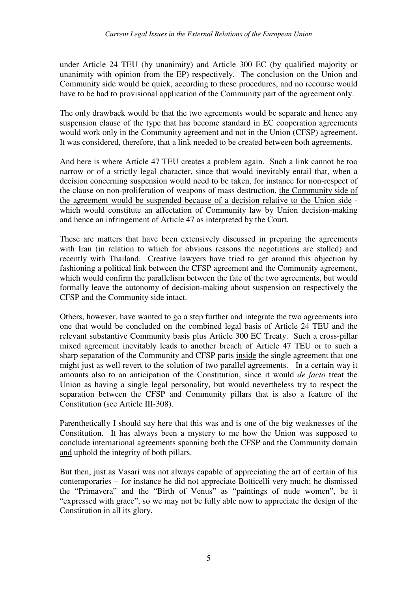under Article 24 TEU (by unanimity) and Article 300 EC (by qualified majority or unanimity with opinion from the EP) respectively. The conclusion on the Union and Community side would be quick, according to these procedures, and no recourse would have to be had to provisional application of the Community part of the agreement only.

The only drawback would be that the two agreements would be separate and hence any suspension clause of the type that has become standard in EC cooperation agreements would work only in the Community agreement and not in the Union (CFSP) agreement. It was considered, therefore, that a link needed to be created between both agreements.

And here is where Article 47 TEU creates a problem again. Such a link cannot be too narrow or of a strictly legal character, since that would inevitably entail that, when a decision concerning suspension would need to be taken, for instance for non-respect of the clause on non-proliferation of weapons of mass destruction, the Community side of the agreement would be suspended because of a decision relative to the Union side which would constitute an affectation of Community law by Union decision-making and hence an infringement of Article 47 as interpreted by the Court.

These are matters that have been extensively discussed in preparing the agreements with Iran (in relation to which for obvious reasons the negotiations are stalled) and recently with Thailand. Creative lawyers have tried to get around this objection by fashioning a political link between the CFSP agreement and the Community agreement, which would confirm the parallelism between the fate of the two agreements, but would formally leave the autonomy of decision-making about suspension on respectively the CFSP and the Community side intact.

Others, however, have wanted to go a step further and integrate the two agreements into one that would be concluded on the combined legal basis of Article 24 TEU and the relevant substantive Community basis plus Article 300 EC Treaty. Such a cross-pillar mixed agreement inevitably leads to another breach of Article 47 TEU or to such a sharp separation of the Community and CFSP parts inside the single agreement that one might just as well revert to the solution of two parallel agreements. In a certain way it amounts also to an anticipation of the Constitution, since it would *de facto* treat the Union as having a single legal personality, but would nevertheless try to respect the separation between the CFSP and Community pillars that is also a feature of the Constitution (see Article III-308).

Parenthetically I should say here that this was and is one of the big weaknesses of the Constitution. It has always been a mystery to me how the Union was supposed to conclude international agreements spanning both the CFSP and the Community domain and uphold the integrity of both pillars.

But then, just as Vasari was not always capable of appreciating the art of certain of his contemporaries – for instance he did not appreciate Botticelli very much; he dismissed the "Primavera" and the "Birth of Venus" as "paintings of nude women", be it "expressed with grace", so we may not be fully able now to appreciate the design of the Constitution in all its glory.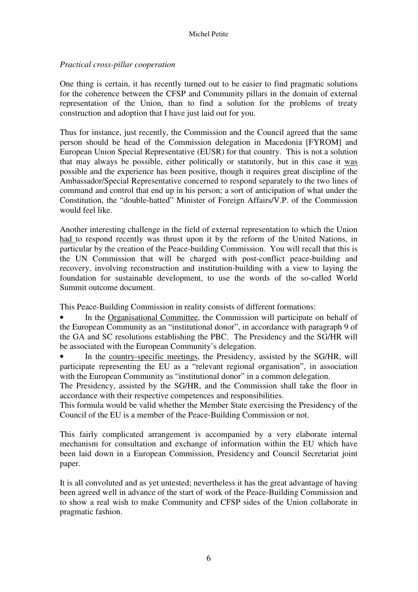## *Practical cross-pillar cooperation*

One thing is certain, it has recently turned out to be easier to find pragmatic solutions for the coherence between the CFSP and Community pillars in the domain of external representation of the Union, than to find a solution for the problems of treaty construction and adoption that I have just laid out for you.

Thus for instance, just recently, the Commission and the Council agreed that the same person should be head of the Commission delegation in Macedonia [FYROM] and European Union Special Representative (EUSR) for that country. This is not a solution that may always be possible, either politically or statutorily, but in this case it was possible and the experience has been positive, though it requires great discipline of the Ambassador/Special Representative concerned to respond separately to the two lines of command and control that end up in his person; a sort of anticipation of what under the Constitution, the "double-hatted" Minister of Foreign Affairs/V.P. of the Commission would feel like.

Another interesting challenge in the field of external representation to which the Union had to respond recently was thrust upon it by the reform of the United Nations, in particular by the creation of the Peace-building Commission. You will recall that this is the UN Commission that will be charged with post-conflict peace-building and recovery, involving reconstruction and institution-building with a view to laying the foundation for sustainable development, to use the words of the so-called World Summit outcome document.

This Peace-Building Commission in reality consists of different formations:

• In the Organisational Committee, the Commission will participate on behalf of the European Community as an "institutional donor", in accordance with paragraph 9 of the GA and SC resolutions establishing the PBC. The Presidency and the SG/HR will be associated with the European Community's delegation.

In the country-specific meetings, the Presidency, assisted by the SG/HR, will participate representing the EU as a "relevant regional organisation", in association with the European Community as "institutional donor" in a common delegation.

The Presidency, assisted by the SG/HR, and the Commission shall take the floor in accordance with their respective competences and responsibilities.

This formula would be valid whether the Member State exercising the Presidency of the Council of the EU is a member of the Peace-Building Commission or not.

This fairly complicated arrangement is accompanied by a very elaborate internal mechanism for consultation and exchange of information within the EU which have been laid down in a European Commission, Presidency and Council Secretariat joint paper.

It is all convoluted and as yet untested; nevertheless it has the great advantage of having been agreed well in advance of the start of work of the Peace-Building Commission and to show a real wish to make Community and CFSP sides of the Union collaborate in pragmatic fashion.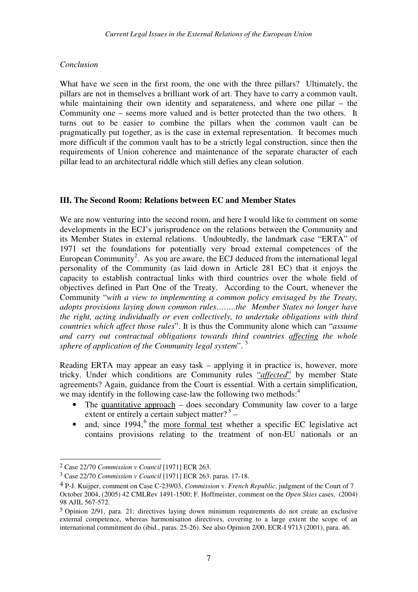#### *Conclusion*

What have we seen in the first room, the one with the three pillars? Ultimately, the pillars are not in themselves a brilliant work of art. They have to carry a common vault, while maintaining their own identity and separateness, and where one pillar – the Community one – seems more valued and is better protected than the two others. It turns out to be easier to combine the pillars when the common vault can be pragmatically put together, as is the case in external representation. It becomes much more difficult if the common vault has to be a strictly legal construction, since then the requirements of Union coherence and maintenance of the separate character of each pillar lead to an architectural riddle which still defies any clean solution.

#### **III. The Second Room: Relations between EC and Member States**

We are now venturing into the second room, and here I would like to comment on some developments in the ECJ's jurisprudence on the relations between the Community and its Member States in external relations. Undoubtedly, the landmark case "ERTA" of 1971 set the foundations for potentially very broad external competences of the European Community<sup>2</sup>. As you are aware, the ECJ deduced from the international legal personality of the Community (as laid down in Article 281 EC) that it enjoys the capacity to establish contractual links with third countries over the whole field of objectives defined in Part One of the Treaty. According to the Court, whenever the Community "*with a view to implementing a common policy envisaged by the Treaty, adopts provisions laying down common rules……..the Member States no longer have the right, acting individually or even collectively, to undertake obligations with third countries which affect those rules*". It is thus the Community alone which can "*assume and carry out contractual obligations towards third countries affecting the whole sphere of application of the Community legal system*". <sup>3</sup>

Reading ERTA may appear an easy task – applying it in practice is, however, more tricky. Under which conditions are Community rules "*affected*" by member State agreements? Again, guidance from the Court is essential. With a certain simplification, we may identify in the following case-law the following two methods: $4$ 

- The quantitative approach  $-$  does secondary Community law cover to a large extent or entirely a certain subject matter? $5 -$
- and, since  $1994$ ,  $6$  the more formal test whether a specific EC legislative act contains provisions relating to the treatment of non-EU nationals or an

j

<sup>2</sup> Case 22/70 *Commission v Council* [1971] ECR 263.

<sup>3</sup> Case 22/70 *Commission v Council* [1971] ECR 263. paras. 17-18.

<sup>4</sup> P-J. Kuijper, comment on Case C-239/03, *Commission* v. *French Republic*, judgment of the Court of 7 October 2004, (2005) 42 CMLRev 1491-1500; F. Hoffmeister, comment on the *Open Skies* cases, (2004) 98 AJIL 567-572.

<sup>5</sup> Opinion 2/91, para. 21: directives laying down minimum requirements do not create an exclusive external competence, whereas harmonisation directives, covering to a large extent the scope of an international commitment do (ibid., paras. 25-26). See also Opinion 2/00, ECR-I 9713 (2001), para. 46.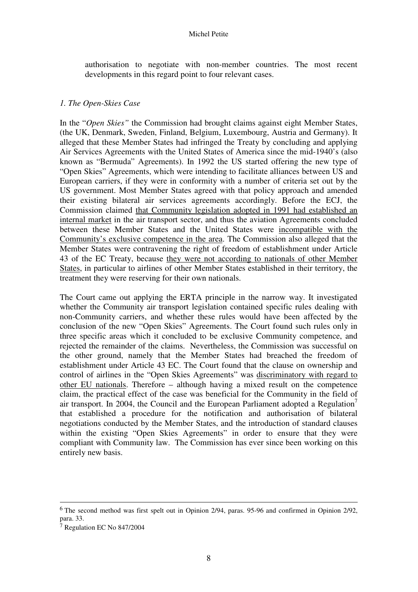authorisation to negotiate with non-member countries. The most recent developments in this regard point to four relevant cases.

#### *1. The Open-Skies Case*

In the "*Open Skies"* the Commission had brought claims against eight Member States, (the UK, Denmark, Sweden, Finland, Belgium, Luxembourg, Austria and Germany). It alleged that these Member States had infringed the Treaty by concluding and applying Air Services Agreements with the United States of America since the mid-1940's (also known as "Bermuda" Agreements). In 1992 the US started offering the new type of "Open Skies" Agreements, which were intending to facilitate alliances between US and European carriers, if they were in conformity with a number of criteria set out by the US government. Most Member States agreed with that policy approach and amended their existing bilateral air services agreements accordingly. Before the ECJ, the Commission claimed that Community legislation adopted in 1991 had established an internal market in the air transport sector, and thus the aviation Agreements concluded between these Member States and the United States were incompatible with the Community's exclusive competence in the area. The Commission also alleged that the Member States were contravening the right of freedom of establishment under Article 43 of the EC Treaty, because they were not according to nationals of other Member States, in particular to airlines of other Member States established in their territory, the treatment they were reserving for their own nationals.

The Court came out applying the ERTA principle in the narrow way. It investigated whether the Community air transport legislation contained specific rules dealing with non-Community carriers, and whether these rules would have been affected by the conclusion of the new "Open Skies" Agreements. The Court found such rules only in three specific areas which it concluded to be exclusive Community competence, and rejected the remainder of the claims. Nevertheless, the Commission was successful on the other ground, namely that the Member States had breached the freedom of establishment under Article 43 EC. The Court found that the clause on ownership and control of airlines in the "Open Skies Agreements" was discriminatory with regard to other EU nationals. Therefore – although having a mixed result on the competence claim, the practical effect of the case was beneficial for the Community in the field of air transport. In 2004, the Council and the European Parliament adopted a Regulation<sup>7</sup> that established a procedure for the notification and authorisation of bilateral negotiations conducted by the Member States, and the introduction of standard clauses within the existing "Open Skies Agreements" in order to ensure that they were compliant with Community law. The Commission has ever since been working on this entirely new basis.

-

<sup>6</sup> The second method was first spelt out in Opinion 2/94, paras. 95-96 and confirmed in Opinion 2/92, para. 33.

<sup>7</sup> Regulation EC No 847/2004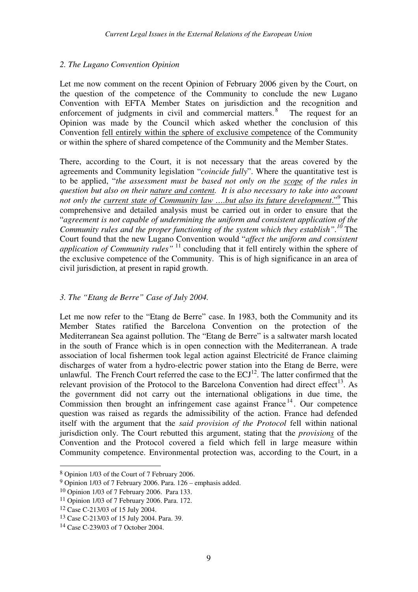# *2. The Lugano Convention Opinion*

Let me now comment on the recent Opinion of February 2006 given by the Court, on the question of the competence of the Community to conclude the new Lugano Convention with EFTA Member States on jurisdiction and the recognition and enforcement of judgments in civil and commercial matters.<sup>8</sup> The request for an Opinion was made by the Council which asked whether the conclusion of this Convention fell entirely within the sphere of exclusive competence of the Community or within the sphere of shared competence of the Community and the Member States.

There, according to the Court, it is not necessary that the areas covered by the agreements and Community legislation "*coincide fully*". Where the quantitative test is to be applied, "*the assessment must be based not only on the scope of the rules in question but also on their nature and content. It is also necessary to take into account*  not only the <u>current state of Community law ....but also its future development."<sup>9</sup> This</u> comprehensive and detailed analysis must be carried out in order to ensure that the "*agreement is not capable of undermining the uniform and consistent application of the Community rules and the proper functioning of the system which they establish".<sup>10</sup>* The Court found that the new Lugano Convention would "*affect the uniform and consistent application of Community rules"* <sup>11</sup> concluding that it fell entirely within the sphere of the exclusive competence of the Community. This is of high significance in an area of civil jurisdiction, at present in rapid growth.

# *3. The "Etang de Berre" Case of July 2004.*

Let me now refer to the "Etang de Berre" case. In 1983, both the Community and its Member States ratified the Barcelona Convention on the protection of the Mediterranean Sea against pollution. The "Etang de Berre" is a saltwater marsh located in the south of France which is in open connection with the Mediterranean. A trade association of local fishermen took legal action against Electricité de France claiming discharges of water from a hydro-electric power station into the Etang de Berre, were unlawful. The French Court referred the case to the  $ECJ<sup>12</sup>$ . The latter confirmed that the relevant provision of the Protocol to the Barcelona Convention had direct effect<sup>13</sup>. As the government did not carry out the international obligations in due time, the Commission then brought an infringement case against France  $14$ . Our competence question was raised as regards the admissibility of the action. France had defended itself with the argument that the *said provision of the Protocol* fell within national jurisdiction only. The Court rebutted this argument, stating that the *provisions* of the Convention and the Protocol covered a field which fell in large measure within Community competence. Environmental protection was, according to the Court, in a

-

<sup>8</sup> Opinion 1/03 of the Court of 7 February 2006.

<sup>9</sup> Opinion 1/03 of 7 February 2006. Para. 126 – emphasis added.

<sup>10</sup> Opinion 1/03 of 7 February 2006. Para 133.

<sup>11</sup> Opinion 1/03 of 7 February 2006. Para. 172.

<sup>12</sup> Case C-213/03 of 15 July 2004.

<sup>13</sup> Case C-213/03 of 15 July 2004. Para. 39.

<sup>14</sup> Case C-239/03 of 7 October 2004.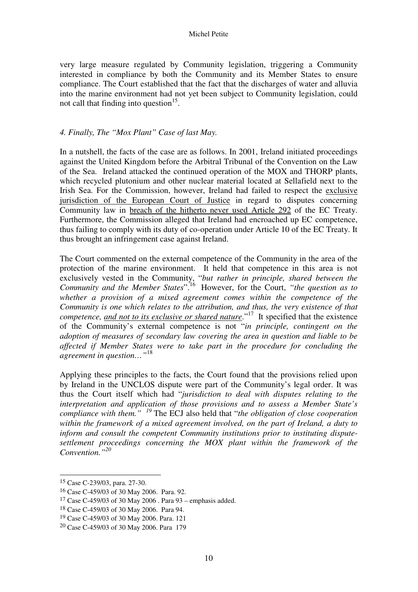very large measure regulated by Community legislation, triggering a Community interested in compliance by both the Community and its Member States to ensure compliance. The Court established that the fact that the discharges of water and alluvia into the marine environment had not yet been subject to Community legislation, could not call that finding into question $15$ .

## *4. Finally, The "Mox Plant" Case of last May.*

In a nutshell, the facts of the case are as follows. In 2001, Ireland initiated proceedings against the United Kingdom before the Arbitral Tribunal of the Convention on the Law of the Sea. Ireland attacked the continued operation of the MOX and THORP plants, which recycled plutonium and other nuclear material located at Sellafield next to the Irish Sea. For the Commission, however, Ireland had failed to respect the exclusive jurisdiction of the European Court of Justice in regard to disputes concerning Community law in breach of the hitherto never used Article 292 of the EC Treaty. Furthermore, the Commission alleged that Ireland had encroached up EC competence, thus failing to comply with its duty of co-operation under Article 10 of the EC Treaty. It thus brought an infringement case against Ireland.

The Court commented on the external competence of the Community in the area of the protection of the marine environment. It held that competence in this area is not exclusively vested in the Community, "*but rather in principle, shared between the Community and the Member States*".<sup>16</sup> However, for the Court, *"the question as to whether a provision of a mixed agreement comes within the competence of the Community is one which relates to the attribution, and thus, the very existence of that competence, and not to its exclusive or shared nature*."<sup>17</sup> It specified that the existence of the Community's external competence is not "*in principle, contingent on the adoption of measures of secondary law covering the area in question and liable to be affected if Member States were to take part in the procedure for concluding the agreement in question…"*<sup>18</sup> 

Applying these principles to the facts, the Court found that the provisions relied upon by Ireland in the UNCLOS dispute were part of the Community's legal order. It was thus the Court itself which had "*jurisdiction to deal with disputes relating to the interpretation and application of those provisions and to assess a Member State's compliance with them." <sup>19</sup>* The ECJ also held that "*the obligation of close cooperation within the framework of a mixed agreement involved, on the part of Ireland, a duty to inform and consult the competent Community institutions prior to instituting disputesettlement proceedings concerning the MOX plant within the framework of the Convention."<sup>20</sup>*

-

<sup>15</sup> Case C-239/03, para. 27-30.

<sup>16</sup> Case C-459/03 of 30 May 2006. Para. 92.

<sup>17</sup> Case C-459/03 of 30 May 2006 . Para 93 – emphasis added.

<sup>18</sup> Case C-459/03 of 30 May 2006. Para 94.

<sup>19</sup> Case C-459/03 of 30 May 2006. Para. 121

<sup>20</sup> Case C-459/03 of 30 May 2006. Para 179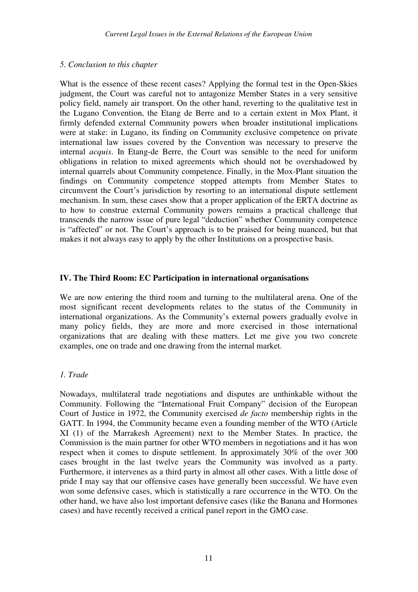## *5. Conclusion to this chapter*

What is the essence of these recent cases? Applying the formal test in the Open-Skies judgment, the Court was careful not to antagonize Member States in a very sensitive policy field, namely air transport. On the other hand, reverting to the qualitative test in the Lugano Convention, the Etang de Berre and to a certain extent in Mox Plant, it firmly defended external Community powers when broader institutional implications were at stake: in Lugano, its finding on Community exclusive competence on private international law issues covered by the Convention was necessary to preserve the internal *acquis*. In Etang-de Berre, the Court was sensible to the need for uniform obligations in relation to mixed agreements which should not be overshadowed by internal quarrels about Community competence. Finally, in the Mox-Plant situation the findings on Community competence stopped attempts from Member States to circumvent the Court's jurisdiction by resorting to an international dispute settlement mechanism. In sum, these cases show that a proper application of the ERTA doctrine as to how to construe external Community powers remains a practical challenge that transcends the narrow issue of pure legal "deduction" whether Community competence is "affected" or not. The Court's approach is to be praised for being nuanced, but that makes it not always easy to apply by the other Institutions on a prospective basis.

# **IV. The Third Room: EC Participation in international organisations**

We are now entering the third room and turning to the multilateral arena. One of the most significant recent developments relates to the status of the Community in international organizations. As the Community's external powers gradually evolve in many policy fields, they are more and more exercised in those international organizations that are dealing with these matters. Let me give you two concrete examples, one on trade and one drawing from the internal market.

# *1. Trade*

Nowadays, multilateral trade negotiations and disputes are unthinkable without the Community. Following the "International Fruit Company" decision of the European Court of Justice in 1972, the Community exercised *de facto* membership rights in the GATT. In 1994, the Community became even a founding member of the WTO (Article XI (1) of the Marrakesh Agreement) next to the Member States. In practice, the Commission is the main partner for other WTO members in negotiations and it has won respect when it comes to dispute settlement. In approximately 30% of the over 300 cases brought in the last twelve years the Community was involved as a party. Furthermore, it intervenes as a third party in almost all other cases. With a little dose of pride I may say that our offensive cases have generally been successful. We have even won some defensive cases, which is statistically a rare occurrence in the WTO. On the other hand, we have also lost important defensive cases (like the Banana and Hormones cases) and have recently received a critical panel report in the GMO case.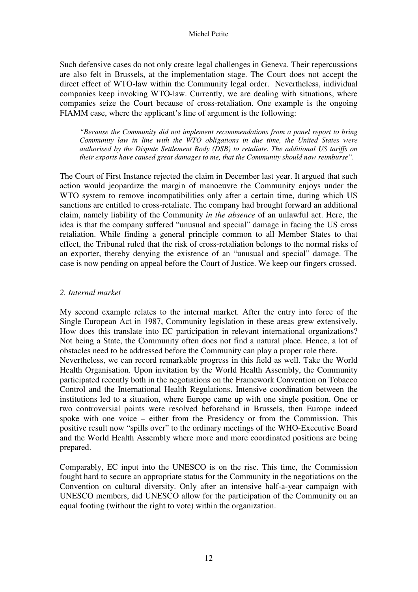Such defensive cases do not only create legal challenges in Geneva. Their repercussions are also felt in Brussels, at the implementation stage. The Court does not accept the direct effect of WTO-law within the Community legal order. Nevertheless, individual companies keep invoking WTO-law. Currently, we are dealing with situations, where companies seize the Court because of cross-retaliation. One example is the ongoing FIAMM case, where the applicant's line of argument is the following:

*"Because the Community did not implement recommendations from a panel report to bring Community law in line with the WTO obligations in due time, the United States were authorised by the Dispute Settlement Body (DSB) to retaliate. The additional US tariffs on their exports have caused great damages to me, that the Community should now reimburse".* 

The Court of First Instance rejected the claim in December last year. It argued that such action would jeopardize the margin of manoeuvre the Community enjoys under the WTO system to remove incompatibilities only after a certain time, during which US sanctions are entitled to cross-retaliate. The company had brought forward an additional claim, namely liability of the Community *in the absence* of an unlawful act. Here, the idea is that the company suffered "unusual and special" damage in facing the US cross retaliation. While finding a general principle common to all Member States to that effect, the Tribunal ruled that the risk of cross-retaliation belongs to the normal risks of an exporter, thereby denying the existence of an "unusual and special" damage. The case is now pending on appeal before the Court of Justice. We keep our fingers crossed.

## *2. Internal market*

My second example relates to the internal market. After the entry into force of the Single European Act in 1987, Community legislation in these areas grew extensively. How does this translate into EC participation in relevant international organizations? Not being a State, the Community often does not find a natural place. Hence, a lot of obstacles need to be addressed before the Community can play a proper role there. Nevertheless, we can record remarkable progress in this field as well. Take the World Health Organisation. Upon invitation by the World Health Assembly, the Community participated recently both in the negotiations on the Framework Convention on Tobacco Control and the International Health Regulations. Intensive coordination between the institutions led to a situation, where Europe came up with one single position. One or two controversial points were resolved beforehand in Brussels, then Europe indeed spoke with one voice – either from the Presidency or from the Commission. This positive result now "spills over" to the ordinary meetings of the WHO-Executive Board and the World Health Assembly where more and more coordinated positions are being prepared.

Comparably, EC input into the UNESCO is on the rise. This time, the Commission fought hard to secure an appropriate status for the Community in the negotiations on the Convention on cultural diversity. Only after an intensive half-a-year campaign with UNESCO members, did UNESCO allow for the participation of the Community on an equal footing (without the right to vote) within the organization.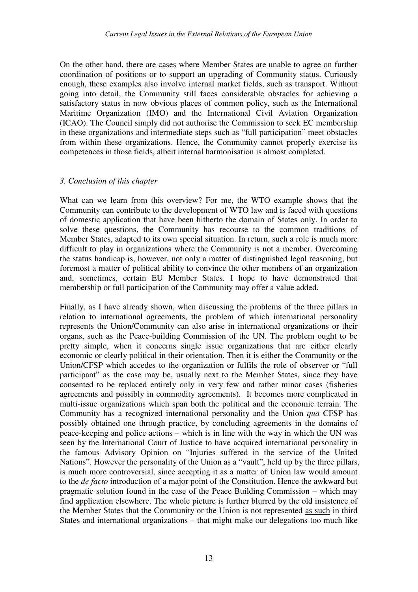On the other hand, there are cases where Member States are unable to agree on further coordination of positions or to support an upgrading of Community status. Curiously enough, these examples also involve internal market fields, such as transport. Without going into detail, the Community still faces considerable obstacles for achieving a satisfactory status in now obvious places of common policy, such as the International Maritime Organization (IMO) and the International Civil Aviation Organization (ICAO). The Council simply did not authorise the Commission to seek EC membership in these organizations and intermediate steps such as "full participation" meet obstacles from within these organizations. Hence, the Community cannot properly exercise its competences in those fields, albeit internal harmonisation is almost completed.

## *3. Conclusion of this chapter*

What can we learn from this overview? For me, the WTO example shows that the Community can contribute to the development of WTO law and is faced with questions of domestic application that have been hitherto the domain of States only. In order to solve these questions, the Community has recourse to the common traditions of Member States, adapted to its own special situation. In return, such a role is much more difficult to play in organizations where the Community is not a member. Overcoming the status handicap is, however, not only a matter of distinguished legal reasoning, but foremost a matter of political ability to convince the other members of an organization and, sometimes, certain EU Member States. I hope to have demonstrated that membership or full participation of the Community may offer a value added.

Finally, as I have already shown, when discussing the problems of the three pillars in relation to international agreements, the problem of which international personality represents the Union/Community can also arise in international organizations or their organs, such as the Peace-building Commission of the UN. The problem ought to be pretty simple, when it concerns single issue organizations that are either clearly economic or clearly political in their orientation. Then it is either the Community or the Union/CFSP which accedes to the organization or fulfils the role of observer or "full participant" as the case may be, usually next to the Member States, since they have consented to be replaced entirely only in very few and rather minor cases (fisheries agreements and possibly in commodity agreements). It becomes more complicated in multi-issue organizations which span both the political and the economic terrain. The Community has a recognized international personality and the Union *qua* CFSP has possibly obtained one through practice, by concluding agreements in the domains of peace-keeping and police actions – which is in line with the way in which the UN was seen by the International Court of Justice to have acquired international personality in the famous Advisory Opinion on "Injuries suffered in the service of the United Nations". However the personality of the Union as a "vault", held up by the three pillars, is much more controversial, since accepting it as a matter of Union law would amount to the *de facto* introduction of a major point of the Constitution. Hence the awkward but pragmatic solution found in the case of the Peace Building Commission – which may find application elsewhere. The whole picture is further blurred by the old insistence of the Member States that the Community or the Union is not represented as such in third States and international organizations – that might make our delegations too much like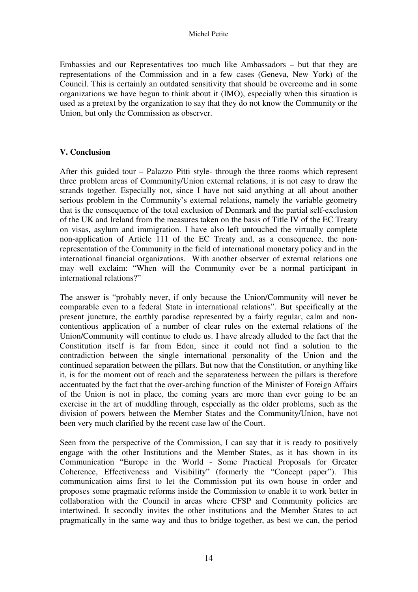Embassies and our Representatives too much like Ambassadors – but that they are representations of the Commission and in a few cases (Geneva, New York) of the Council. This is certainly an outdated sensitivity that should be overcome and in some organizations we have begun to think about it (IMO), especially when this situation is used as a pretext by the organization to say that they do not know the Community or the Union, but only the Commission as observer.

# **V. Conclusion**

After this guided tour – Palazzo Pitti style- through the three rooms which represent three problem areas of Community/Union external relations, it is not easy to draw the strands together. Especially not, since I have not said anything at all about another serious problem in the Community's external relations, namely the variable geometry that is the consequence of the total exclusion of Denmark and the partial self-exclusion of the UK and Ireland from the measures taken on the basis of Title IV of the EC Treaty on visas, asylum and immigration. I have also left untouched the virtually complete non-application of Article 111 of the EC Treaty and, as a consequence, the nonrepresentation of the Community in the field of international monetary policy and in the international financial organizations. With another observer of external relations one may well exclaim: "When will the Community ever be a normal participant in international relations?"

The answer is "probably never, if only because the Union/Community will never be comparable even to a federal State in international relations". But specifically at the present juncture, the earthly paradise represented by a fairly regular, calm and noncontentious application of a number of clear rules on the external relations of the Union/Community will continue to elude us. I have already alluded to the fact that the Constitution itself is far from Eden, since it could not find a solution to the contradiction between the single international personality of the Union and the continued separation between the pillars. But now that the Constitution, or anything like it, is for the moment out of reach and the separateness between the pillars is therefore accentuated by the fact that the over-arching function of the Minister of Foreign Affairs of the Union is not in place, the coming years are more than ever going to be an exercise in the art of muddling through, especially as the older problems, such as the division of powers between the Member States and the Community/Union, have not been very much clarified by the recent case law of the Court.

Seen from the perspective of the Commission, I can say that it is ready to positively engage with the other Institutions and the Member States, as it has shown in its Communication "Europe in the World - Some Practical Proposals for Greater Coherence, Effectiveness and Visibility" (formerly the "Concept paper"). This communication aims first to let the Commission put its own house in order and proposes some pragmatic reforms inside the Commission to enable it to work better in collaboration with the Council in areas where CFSP and Community policies are intertwined. It secondly invites the other institutions and the Member States to act pragmatically in the same way and thus to bridge together, as best we can, the period